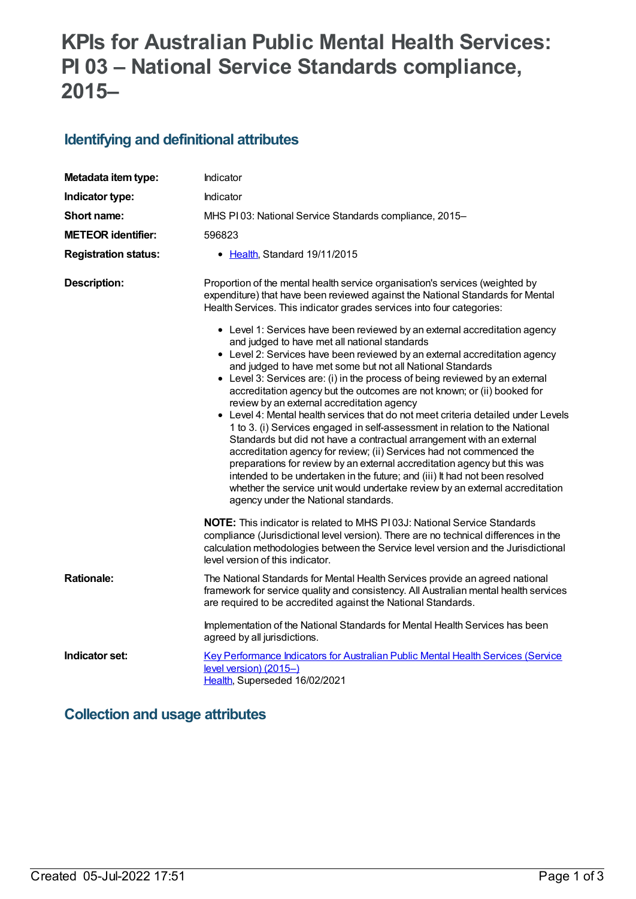# **KPIs for Australian Public Mental Health Services: PI 03 – National Service Standards compliance, 2015–**

# **Identifying and definitional attributes**

| Metadata item type:         | Indicator                                                                                                                                                                                                                                                                                                                                                                                                                                                                                                                                                                                                                                                                                                                                                                                                                                                                                                                                                                                                                                                                                                                                                                                                                                                                                                                           |  |
|-----------------------------|-------------------------------------------------------------------------------------------------------------------------------------------------------------------------------------------------------------------------------------------------------------------------------------------------------------------------------------------------------------------------------------------------------------------------------------------------------------------------------------------------------------------------------------------------------------------------------------------------------------------------------------------------------------------------------------------------------------------------------------------------------------------------------------------------------------------------------------------------------------------------------------------------------------------------------------------------------------------------------------------------------------------------------------------------------------------------------------------------------------------------------------------------------------------------------------------------------------------------------------------------------------------------------------------------------------------------------------|--|
| Indicator type:             | Indicator                                                                                                                                                                                                                                                                                                                                                                                                                                                                                                                                                                                                                                                                                                                                                                                                                                                                                                                                                                                                                                                                                                                                                                                                                                                                                                                           |  |
| Short name:                 | MHS PI03: National Service Standards compliance, 2015-                                                                                                                                                                                                                                                                                                                                                                                                                                                                                                                                                                                                                                                                                                                                                                                                                                                                                                                                                                                                                                                                                                                                                                                                                                                                              |  |
| <b>METEOR identifier:</b>   | 596823                                                                                                                                                                                                                                                                                                                                                                                                                                                                                                                                                                                                                                                                                                                                                                                                                                                                                                                                                                                                                                                                                                                                                                                                                                                                                                                              |  |
| <b>Registration status:</b> | • Health, Standard 19/11/2015                                                                                                                                                                                                                                                                                                                                                                                                                                                                                                                                                                                                                                                                                                                                                                                                                                                                                                                                                                                                                                                                                                                                                                                                                                                                                                       |  |
| <b>Description:</b>         | Proportion of the mental health service organisation's services (weighted by<br>expenditure) that have been reviewed against the National Standards for Mental<br>Health Services. This indicator grades services into four categories:<br>• Level 1: Services have been reviewed by an external accreditation agency<br>and judged to have met all national standards<br>• Level 2: Services have been reviewed by an external accreditation agency<br>and judged to have met some but not all National Standards<br>• Level 3: Services are: (i) in the process of being reviewed by an external<br>accreditation agency but the outcomes are not known; or (ii) booked for<br>review by an external accreditation agency<br>• Level 4: Mental health services that do not meet criteria detailed under Levels<br>1 to 3. (i) Services engaged in self-assessment in relation to the National<br>Standards but did not have a contractual arrangement with an external<br>accreditation agency for review; (ii) Services had not commenced the<br>preparations for review by an external accreditation agency but this was<br>intended to be undertaken in the future; and (iii) It had not been resolved<br>whether the service unit would undertake review by an external accreditation<br>agency under the National standards. |  |
|                             | <b>NOTE:</b> This indicator is related to MHS PI03J: National Service Standards<br>compliance (Jurisdictional level version). There are no technical differences in the<br>calculation methodologies between the Service level version and the Jurisdictional<br>level version of this indicator.                                                                                                                                                                                                                                                                                                                                                                                                                                                                                                                                                                                                                                                                                                                                                                                                                                                                                                                                                                                                                                   |  |
| <b>Rationale:</b>           | The National Standards for Mental Health Services provide an agreed national<br>framework for service quality and consistency. All Australian mental health services<br>are required to be accredited against the National Standards.                                                                                                                                                                                                                                                                                                                                                                                                                                                                                                                                                                                                                                                                                                                                                                                                                                                                                                                                                                                                                                                                                               |  |
|                             | Implementation of the National Standards for Mental Health Services has been<br>agreed by all jurisdictions.                                                                                                                                                                                                                                                                                                                                                                                                                                                                                                                                                                                                                                                                                                                                                                                                                                                                                                                                                                                                                                                                                                                                                                                                                        |  |
| Indicator set:              | Key Performance Indicators for Australian Public Mental Health Services (Service<br>level version) (2015-)<br>Health, Superseded 16/02/2021                                                                                                                                                                                                                                                                                                                                                                                                                                                                                                                                                                                                                                                                                                                                                                                                                                                                                                                                                                                                                                                                                                                                                                                         |  |

### **Collection and usage attributes**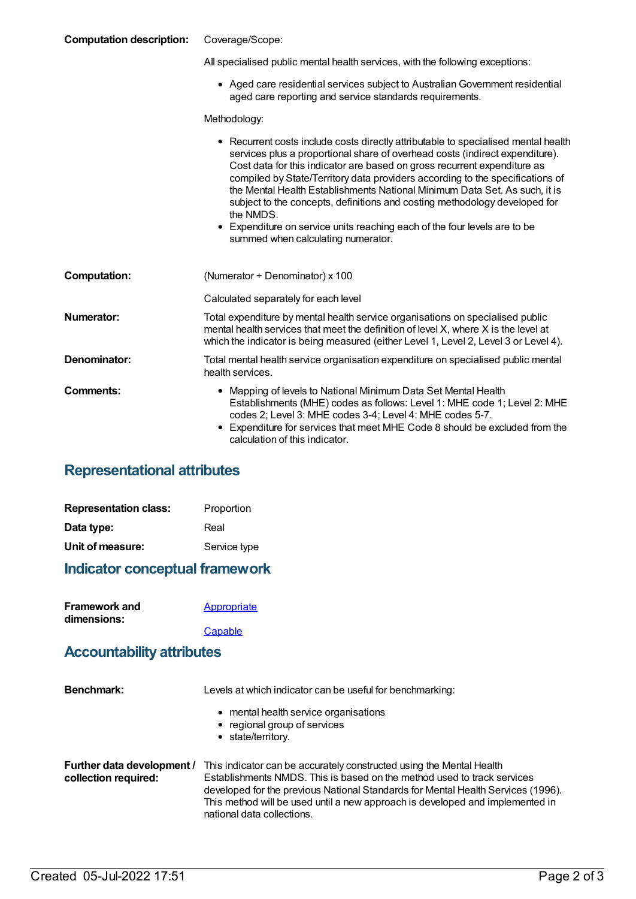#### **Computation description:** Coverage/Scope:

All specialised public mental health services, with the following exceptions:

Aged care residential services subject to AustralianGovernment residential aged care reporting and service standards requirements.

Methodology:

|                     | • Recurrent costs include costs directly attributable to specialised mental health<br>services plus a proportional share of overhead costs (indirect expenditure).<br>Cost data for this indicator are based on gross recurrent expenditure as<br>compiled by State/Territory data providers according to the specifications of<br>the Mental Health Establishments National Minimum Data Set. As such, it is<br>subject to the concepts, definitions and costing methodology developed for<br>the NMDS.<br>• Expenditure on service units reaching each of the four levels are to be<br>summed when calculating numerator. |  |
|---------------------|-----------------------------------------------------------------------------------------------------------------------------------------------------------------------------------------------------------------------------------------------------------------------------------------------------------------------------------------------------------------------------------------------------------------------------------------------------------------------------------------------------------------------------------------------------------------------------------------------------------------------------|--|
| <b>Computation:</b> | (Numerator $\div$ Denominator) x 100                                                                                                                                                                                                                                                                                                                                                                                                                                                                                                                                                                                        |  |
|                     | Calculated separately for each level                                                                                                                                                                                                                                                                                                                                                                                                                                                                                                                                                                                        |  |
| Numerator:          | Total expenditure by mental health service organisations on specialised public<br>mental health services that meet the definition of level X, where X is the level at<br>which the indicator is being measured (either Level 1, Level 2, Level 3 or Level 4).                                                                                                                                                                                                                                                                                                                                                               |  |
| Denominator:        | Total mental health service organisation expenditure on specialised public mental<br>health services.                                                                                                                                                                                                                                                                                                                                                                                                                                                                                                                       |  |
| Comments:           | • Mapping of levels to National Minimum Data Set Mental Health<br>Establishments (MHE) codes as follows: Level 1: MHE code 1; Level 2: MHE<br>codes 2; Level 3: MHE codes 3-4; Level 4: MHE codes 5-7.<br>Expenditure for services that meet MHE Code 8 should be excluded from the<br>calculation of this indicator.                                                                                                                                                                                                                                                                                                       |  |

#### **Representational attributes**

| <b>Representation class:</b> | Proportion   |
|------------------------------|--------------|
| Data type:                   | Real         |
| Unit of measure:             | Service type |

### **Indicator conceptual framework**

| <b>Framework and</b> | Appropriate |
|----------------------|-------------|
| dimensions:          |             |
|                      | Capable     |

#### **Accountability attributes**

| <b>Benchmark:</b>                                  | Levels at which indicator can be useful for benchmarking:                                                                                                                                                                                                                                                                                          |  |
|----------------------------------------------------|----------------------------------------------------------------------------------------------------------------------------------------------------------------------------------------------------------------------------------------------------------------------------------------------------------------------------------------------------|--|
|                                                    | • mental health service organisations<br>• regional group of services<br>• state/territory.                                                                                                                                                                                                                                                        |  |
| Further data development /<br>collection required: | This indicator can be accurately constructed using the Mental Health<br>Establishments NMDS. This is based on the method used to track services<br>developed for the previous National Standards for Mental Health Services (1996).<br>This method will be used until a new approach is developed and implemented in<br>national data collections. |  |